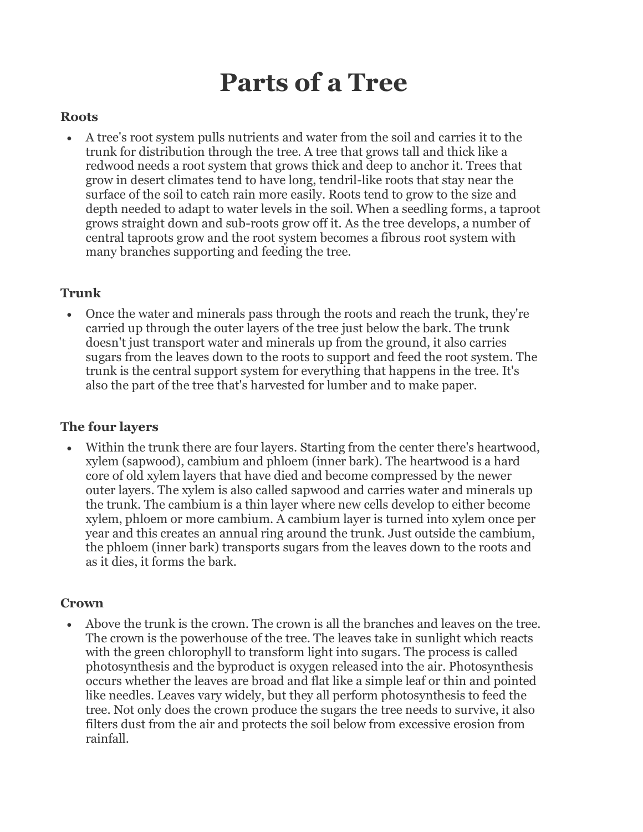# **Parts of a Tree**

#### **Roots**

• A tree's root system pulls nutrients and water from the soil and carries it to the trunk for distribution through the tree. A tree that grows tall and thick like a redwood needs a root system that grows thick and deep to anchor it. Trees that grow in desert climates tend to have long, tendril-like roots that stay near the surface of the soil to catch rain more easily. Roots tend to grow to the size and depth needed to adapt to water levels in the soil. When a seedling forms, a taproot grows straight down and sub-roots grow off it. As the tree develops, a number of central taproots grow and the root system becomes a fibrous root system with many branches supporting and feeding the tree.

### **Trunk**

• Once the water and minerals pass through the roots and reach the trunk, they're carried up through the outer layers of the tree just below the bark. The trunk doesn't just transport water and minerals up from the ground, it also carries sugars from the leaves down to the roots to support and feed the root system. The trunk is the central support system for everything that happens in the tree. It's also the part of the tree that's harvested for lumber and to make paper.

## **The four layers**

Within the trunk there are four layers. Starting from the center there's heartwood, xylem (sapwood), cambium and phloem (inner bark). The heartwood is a hard core of old xylem layers that have died and become compressed by the newer outer layers. The xylem is also called sapwood and carries water and minerals up the trunk. The cambium is a thin layer where new cells develop to either become xylem, phloem or more cambium. A cambium layer is turned into xylem once per year and this creates an annual ring around the trunk. Just outside the cambium, the phloem (inner bark) transports sugars from the leaves down to the roots and as it dies, it forms the bark.

#### **Crown**

• Above the trunk is the crown. The crown is all the branches and leaves on the tree. The crown is the powerhouse of the tree. The leaves take in sunlight which reacts with the green chlorophyll to transform light into sugars. The process is called photosynthesis and the byproduct is oxygen released into the air. Photosynthesis occurs whether the leaves are broad and flat like a simple leaf or thin and pointed like needles. Leaves vary widely, but they all perform photosynthesis to feed the tree. Not only does the crown produce the sugars the tree needs to survive, it also filters dust from the air and protects the soil below from excessive erosion from rainfall.